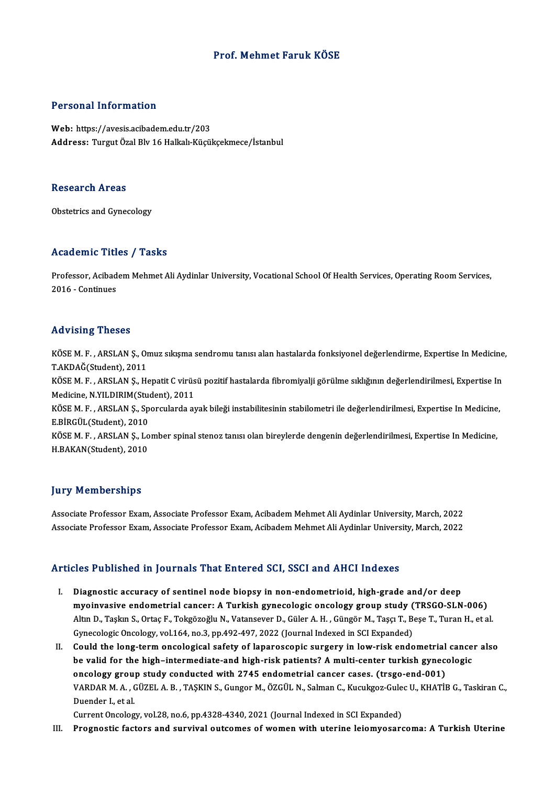### Prof.Mehmet Faruk KÖSE

### Personal Information

Web: https://avesis.acibadem.edu.tr/203 Address: Turgut Özal Blv 16 Halkalı-Küçükçekmece/İstanbul

### **Research Areas**

Obstetrics and Gynecology

### Academic Titles / Tasks

Academic Titles / Tasks<br>Professor, Acibadem Mehmet Ali Aydinlar University, Vocational School Of Health Services, Operating Room Services,<br>2016 - Continues Professor, Acibad<br>2016 - Continues

# 2016 - Continues<br>Advising Theses

Advising Theses<br>KÖSE M. F. , ARSLAN Ş., Omuz sıkışma sendromu tanısı alan hastalarda fonksiyonel değerlendirme, Expertise In Medicine,<br>T.AKDAČ(Student), 2011 T.AKDAĞ THESES<br>KÖSE M. F. , ARSLAN Ş., OT<br>T.AKDAĞ(Student), 2011<br>VÖSE M. E., ABSLAN S., H. KÖSE M. F. , ARSLAN Ş., Omuz sıkışma sendromu tanısı alan hastalarda fonksiyonel değerlendirme, Expertise In Medicine<br>T.AKDAĞ(Student), 2011<br>KÖSE M. F. , ARSLAN Ş., Hepatit C virüsü pozitif hastalarda fibromiyalji görülme T.AKDAĞ(Student), 2011<br>KÖSE M. F. , ARSLAN Ş., Hepatit C virüs<br>Medicine, N.YILDIRIM(Student), 2011<br>KÖSE M. E., ABSLAN S., Sporgularda al KÖSE M. F. , ARSLAN Ş., Hepatit C virüsü pozitif hastalarda fibromiyalji görülme sıklığının değerlendirilmesi, Expertise In<br>Medicine, N.YILDIRIM(Student), 2011<br>KÖSE M. F. , ARSLAN Ş., Sporcularda ayak bileği instabilitesin Medicine, N.YILDIRIM(Student), 2011<br>KÖSE M. F. , ARSLAN Ş., Sporcularda ayak bileği instabilitesinin stabilometri ile değerlendirilmesi, Expertise In Medicine,<br>E.BİRGÜL(Student), 2010 KÖSE M. F. , ARSLAN Ş., Sporcularda ayak bileği instabilitesinin stabilometri ile değerlendirilmesi, Expertise In Medicine<br>E.BİRGÜL(Student), 2010<br>KÖSE M. F. , ARSLAN Ş., Lomber spinal stenoz tanısı olan bireylerde dengeni E.BİRGÜL(Student), 2010<br>KÖSE M. F. , ARSLAN Ş., Lo<br>H.BAKAN(Student), 2010 H.BAKAN(Student), 2010<br>Jury Memberships

**Jury Memberships<br>Associate Professor Exam, Associate Professor Exam, Acibadem Mehmet Ali Aydinlar University, March, 2022<br>Associate Professor Evam, Associate Professor Evam, Acibadem Mehmet Ali Aydinlar University, March,** Jury Tremmersinnpe<br>Associate Professor Exam, Associate Professor Exam, Acibadem Mehmet Ali Aydinlar University, March, 2022<br>Associate Professor Exam, Associate Professor Exam, Acibadem Mehmet Ali Aydinlar University, March Associate Professor Exam, Associate Professor Exam, Acibadem Mehmet Ali Aydinlar University, March, 2022<br>Articles Published in Journals That Entered SCI, SSCI and AHCI Indexes

- I. Diagnostic accuracy of sentinel node biopsy in non-endometrioid, high-grade and/or deep metrical cancerial cancerial cancer of search of the annual cancerial cancerns of search of the biopsy in non-endometrioid, high-grade and/or deep<br>myoinvasive endometrial cancer: A Turkish gynecologic oncology group study Diagnostic accuracy of sentinel node biopsy in non-endometrioid, high-grade and/or deep<br>myoinvasive endometrial cancer: A Turkish gynecologic oncology group study (TRSGO-SLN-006)<br>Altın D., Taşkın S., Ortaç F., Tokgözoğlu N myoinvasive endometrial cancer: A Turkish gynecologic oncology group study (<br>Altın D., Taşkın S., Ortaç F., Tokgözoğlu N., Vatansever D., Güler A. H. , Güngör M., Taşçı T., B.<br>Gynecologic Oncology, vol.164, no.3, pp.492-49 Altın D., Taşkın S., Ortaç F., Tokgözoğlu N., Vatansever D., Güler A. H., Güngör M., Taşçı T., Beşe T., Turan H., et al.<br>Gynecologic Oncology, vol.164, no.3, pp.492-497, 2022 (Journal Indexed in SCI Expanded)<br>II. Could the
- Gynecologic Oncology, vol.164, no.3, pp.492-497, 2022 (Journal Indexed in SCI Expanded)<br>Could the long-term oncological safety of laparoscopic surgery in low-risk endometrial cance<br>be valid for the high–intermediate-and hi be valid for the high-intermediate-and high-risk patients? A multi-center turkish gynecologic<br>oncology group study conducted with 2745 endometrial cancer cases. (trsgo-end-001) be valid for the high–intermediate-and high-risk patients? A multi-center turkish gynecologic<br>oncology group study conducted with 2745 endometrial cancer cases. (trsgo-end-001)<br>VARDAR M. A. , GÜZEL A. B. , TAŞKIN S., Gungo oncology grou<br>VARDAR M. A. , (<br>Duender I., et al.<br>Current Oncolog VARDAR M. A. , GÜZEL A. B. , TAŞKIN S., Gungor M., ÖZGÜL N., Salman C., Kucukgoz-Gule<br>Duender I., et al.<br>Current Oncology, vol.28, no.6, pp.4328-4340, 2021 (Journal Indexed in SCI Expanded)<br>Prespectis festers and survival Duender I., et al.<br>Current Oncology, vol.28, no.6, pp.4328-4340, 2021 (Journal Indexed in SCI Expanded)<br>III. Prognostic factors and survival outcomes of women with uterine leiomyosarcoma: A Turkish Uterine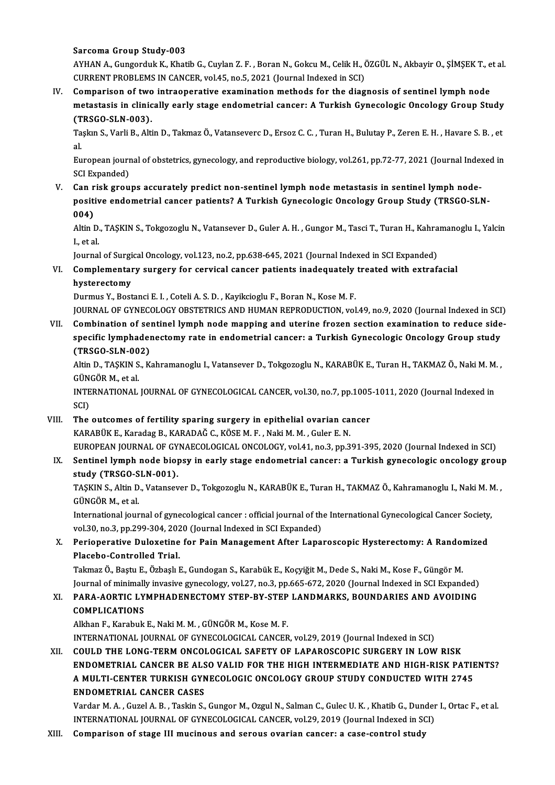Sarcoma Group Study-003

Sarcoma Group Study-003<br>AYHAN A., Gungorduk K., Khatib G., Cuylan Z. F. , Boran N., Gokcu M., Celik H., ÖZGÜL N., Akbayir O., ŞİMŞEK T<br>CURRENT RRORLEMS IN GANCER, vol 45, P.9 5, 2021 (Journal Indoved in SCI) Sarcoma Group Study-003<br>AYHAN A., Gungorduk K., Khatib G., Cuylan Z. F. , Boran N., Gokcu M., Celik H., (<br>CURRENT PROBLEMS IN CANCER, vol.45, no.5, 2021 (Journal Indexed in SCI)<br>Comparison of two intreoporative examination AYHAN A., Gungorduk K., Khatib G., Cuylan Z. F. , Boran N., Gokcu M., Celik H., ÖZGÜL N., Akbayir O., ŞİMŞEK T., e<br>CURRENT PROBLEMS IN CANCER, vol.45, no.5, 2021 (Journal Indexed in SCI)<br>IV. Comparison of two intraoperativ

CURRENT PROBLEMS IN CANCER, vol.45, no.5, 2021 (Journal Indexed in SCI)<br>Comparison of two intraoperative examination methods for the diagnosis of sentinel lymph node<br>metastasis in clinically early stage endometrial cancer: Comparison of two<br>metastasis in clinic<br>(TRSGO-SLN-003).<br>Taska S. Varli B. Alti

Taşkın S., Varli B., Altin D., Takmaz Ö., Vatanseverc D., Ersoz C. C. , Turan H., Bulutay P., Zeren E. H. , Havare S. B. , et<br>al. (T<br>Ta<br>al Taşkın S., Varli B., Altin D., Takmaz Ö., Vatanseverc D., Ersoz C. C. , Turan H., Bulutay P., Zeren E. H. , Havare S. B. , et<br>al.<br>European journal of obstetrics, gynecology, and reproductive biology, vol.261, pp.72-77, 202

al.<br>European jourr<br>SCI Expanded)<br>Can risk srou European journal of obstetrics, gynecology, and reproductive biology, vol.261, pp.72-77, 2021 (Journal Inde<br>SCI Expanded)<br>V. Can risk groups accurately predict non-sentinel lymph node metastasis in sentinel lymph node-<br>nos

SCI Expanded)<br>Can risk groups accurately predict non-sentinel lymph node metastasis in sentinel lymph node-<br>positive endometrial cancer patients? A Turkish Gynecologic Oncology Group Study (TRSGO-SLN-<br>004) Can r<br>positi<br>004)<br>Altin I positive endometrial cancer patients? A Turkish Gynecologic Oncology Group Study (TRSGO-SLN-<br>004)<br>Altin D., TAŞKIN S., Tokgozoglu N., Vatansever D., Guler A. H. , Gungor M., Tasci T., Turan H., Kahramanoglu I., Yalcin<br>Leta

004)<br>Altin D.<br>I., et al.<br>Journal Altin D., TAŞKIN S., Tokgozoglu N., Vatansever D., Guler A. H. , Gungor M., Tasci T., Turan H., Kahra<br>I., et al.<br>Journal of Surgical Oncology, vol.123, no.2, pp.638-645, 2021 (Journal Indexed in SCI Expanded)<br>Complementery

## I., et al.<br>Journal of Surgical Oncology, vol.123, no.2, pp.638-645, 2021 (Journal Indexed in SCI Expanded)<br>VI. Complementary surgery for cervical cancer patients inadequately treated with extrafacial<br>hysterestemy Journal of Surgi<br>Complemental<br>hysterectomy<br>Durmus V. Bost Complementary surgery for cervical cancer patients inadequately<br>hysterectomy<br>Durmus Y., Bostanci E. I. , Coteli A. S. D. , Kayikcioglu F., Boran N., Kose M. F.<br>JOURNAL OF CYNECOLOCY OBSTETRICS AND HUMAN REPRODUCTION .val hysterectomy<br>Durmus Y., Bostanci E. I. , Coteli A. S. D. , Kayikcioglu F., Boran N., Kose M. F.<br>JOURNAL OF GYNECOLOGY OBSTETRICS AND HUMAN REPRODUCTION, vol.49, no.9, 2020 (Journal Indexed in SCI)<br>Combination of sentinel l

Durmus Y., Bostanci E. I. , Coteli A. S. D. , Kayikcioglu F., Boran N., Kose M. F.<br>JOURNAL OF GYNECOLOGY OBSTETRICS AND HUMAN REPRODUCTION, vol.49, no.9, 2020 (Journal Indexed in SCI)<br>VII. Combination of sentinel lymph nod JOURNAL OF GYNECOLOGY OBSTETRICS AND HUMAN REPRODUCTION, vol.49, no.9, 2020 (Journal Indexed in SCI<br>Combination of sentinel lymph node mapping and uterine frozen section examination to reduce side<br>specific lymphadenectomy VII. Combination of sentinel lymph node mapping and uterine frozen section examination to reduce sidespecific lymphadenectomy rate in endometrial cancer: a Turkish Gynecologic Oncology Group study<br>(TRSGO-SLN-002) specific lymphadenectomy rate in endometrial cancer: a Turkish Gynecologic Oncology Group study<br>(TRSGO-SLN-002)<br>Altin D., TAŞKIN S., Kahramanoglu I., Vatansever D., Tokgozoglu N., KARABÜK E., Turan H., TAKMAZ Ö., Naki M. M

(TRSGO-SLN-00<br>Altin D., TAŞKIN S<br>GÜNGÖR M., et al.<br>INTERNATIONAL Altin D., TAŞKIN S., Kahramanoglu I., Vatansever D., Tokgozoglu N., KARABÜK E., Turan H., TAKMAZ Ö., Naki M. M<br>GÜNGÖR M., et al.<br>INTERNATIONAL JOURNAL OF GYNECOLOGICAL CANCER, vol.30, no.7, pp.1005-1011, 2020 (Journal Inde

GÜNGÖR M., et al.<br>INTERNATIONAL JOURNAL OF GYNECOLOGICAL CANCER, vol.30, no.7, pp.1005-1011, 2020 (Journal Indexed in<br>SCI) INTERNATIONAL JOURNAL OF GYNECOLOGICAL CANCER, vol.30, no.7, pp.1005<br>SCI)<br>VIII. The outcomes of fertility sparing surgery in epithelial ovarian cancer<br> $VADADUVE$ ,  $VADADQEPE$ ,  $VADADQECEME$ ,  $NEDHEM$ ,  $Culer EN$ 

SCI)<br>The outcomes of fertility sparing surgery in epithelial ovarian ca<br>KARABÜK E., Karadag B., KARADAĞ C., KÖSE M. F. , Naki M. M. , Guler E. N.<br>FUROPEAN JOURNAL OF CYNAFCOLOCICAL ONCOLOCY .val.41, no.3, nn.3 The outcomes of fertility sparing surgery in epithelial ovarian cancer<br>KARABÜK E., Karadag B., KARADAĞ C., KÖSE M. F. , Naki M. M. , Guler E. N.<br>EUROPEAN JOURNAL OF GYNAECOLOGICAL ONCOLOGY, vol.41, no.3, pp.391-395, 2020 ( KARABÜK E., Karadag B., KARADAĞ C., KÖSE M. F. , Naki M. M. , Guler E. N.<br>EUROPEAN JOURNAL OF GYNAECOLOGICAL ONCOLOGY, vol.41, no.3, pp.391-395, 2020 (Journal Indexed in SCI)<br>IX. Sentinel lymph node biopsy in early stage e

EUROPEAN JOURNAL OF GY<br>Sentinel lymph node bio<sub>l</sub><br>study (TRSGO-SLN-001).<br>TASVIN S. Altin D. Vetensey Sentinel lymph node biopsy in early stage endometrial cancer: a Turkish gynecologic oncology grou<sub>l</sub><br>study (TRSGO-SLN-001).<br>TAŞKIN S., Altin D., Vatansever D., Tokgozoglu N., KARABÜK E., Turan H., TAKMAZ Ö., Kahramanoglu I

study (TRSGO-SLN-001).<br>TAŞKIN S., Altin D., Vatansev<br>GÜNGÖR M., et al. TAŞKIN S., Altin D., Vatansever D., Tokgozoglu N., KARABÜK E., Turan H., TAKMAZ Ö., Kahramanoglu I., Naki M. M.,

International journal of gynecological cancer : official journal of the International Gynecological Cancer Society, International journal of gynecological cancer : official journal of the International Gynecological Cancer Society<br>vol.30, no.3, pp.299-304, 2020 (Journal Indexed in SCI Expanded)<br>X. Perioperative Duloxetine for Pain Manag

vol.30, no.3, pp.299-304, 2020 (Journal Indexed in SCI Expanded)<br>Perioperative Duloxetine for Pain Management After Lapa<br>Placebo-Controlled Trial. Perioperative Duloxetine for Pain Management After Laparoscopic Hysterectomy: A Rando:<br>Placebo-Controlled Trial.<br>Takmaz Ö., Baştu E., Özbaşlı E., Gundogan S., Karabük E., Koçyiğit M., Dede S., Naki M., Kose F., Güngör M.<br>J

Takmaz Ö., Baştu E., Özbaşlı E., Gundogan S., Karabük E., Koçyiğit M., Dede S., Naki M., Kose F., Güngör M.<br>Journal of minimally invasive gynecology, vol.27, no.3, pp.665-672, 2020 (Journal Indexed in SCI Expanded) Takmaz Ö., Baştu E., Özbaşlı E., Gundogan S., Karabük E., Koçyiğit M., Dede S., Naki M., Kose F., Güngör M.<br>Journal of minimally invasive gynecology, vol.27, no.3, pp.665-672, 2020 (Journal Indexed in SCI Expanded)<br>XI. PAR

## Journal of minimall<br>PARA-AORTIC LY<br>COMPLICATIONS PARA-AORTIC LYMPHADENECTOMY STEP-BY-STEP<br>COMPLICATIONS<br>Alkhan F., Karabuk E., Naki M. M. , GÜNGÖR M., Kose M. F.<br>INTERNATIONAL JOURNAL OF CYNECOLOCICAL CANCER COMPLICATIONS<br>Alkhan F., Karabuk E., Naki M. M. , GÜNGÖR M., Kose M. F.<br>INTERNATIONAL JOURNAL OF GYNECOLOGICAL CANCER, vol.29, 2019 (Journal Indexed in SCI)

XII. COULD THE LONG-TERM ONCOLOGICAL SAFETY OF LAPAROSCOPIC SURGERY IN LOW RISK ENDOMETRIAL CANCER BE ALSO VALID FOR THE HIGH INTERMEDIATE AND HIGH-RISK PATIENTS? COULD THE LONG-TERM ONCOLOGICAL SAFETY OF LAPAROSCOPIC SURGERY IN LOW RISK<br>ENDOMETRIAL CANCER BE ALSO VALID FOR THE HIGH INTERMEDIATE AND HIGH-RISK PATIE<br>A MULTI-CENTER TURKISH GYNECOLOGIC ONCOLOGY GROUP STUDY CONDUCTED WI ENDOMETRIAL CANCER BE ALS<br>A MULTI-CENTER TURKISH GYN<br>ENDOMETRIAL CANCER CASES<br>Varder M A Curel A B Teskin S A MULTI-CENTER TURKISH GYNECOLOGIC ONCOLOGY GROUP STUDY CONDUCTED WITH 2745<br>ENDOMETRIAL CANCER CASES<br>Vardar M. A. , Guzel A. B. , Taskin S., Gungor M., Ozgul N., Salman C., Gulec U. K. , Khatib G., Dunder I., Ortac F., et

ENDOMETRIAL CANCER CASES<br>Vardar M. A. , Guzel A. B. , Taskin S., Gungor M., Ozgul N., Salman C., Gulec U. K. , Khatib G., Dunder I., Ortac F., et al.<br>INTERNATIONAL JOURNAL OF GYNECOLOGICAL CANCER, vol.29, 2019 (Journal Ind

XIII. Comparison of stage III mucinous and serous ovarian cancer: a case-control study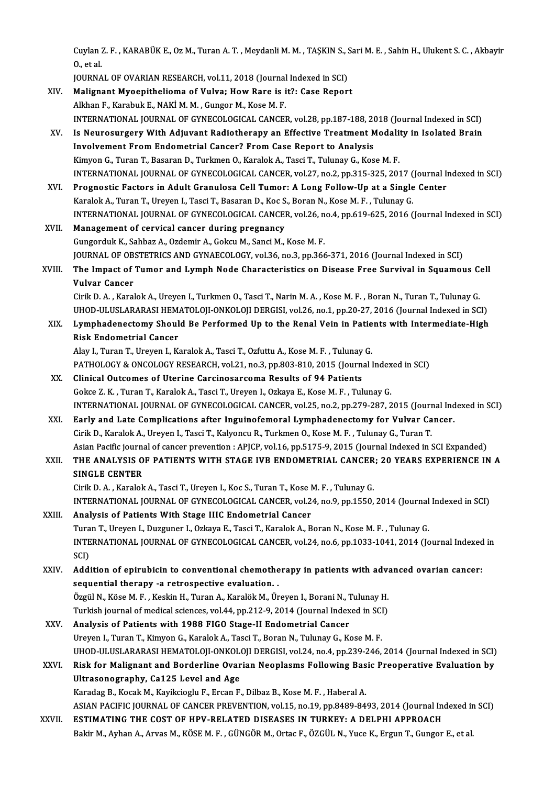Cuylan Z. F. , KARABÜK E., Oz M., Turan A. T. , Meydanli M. M. , TAŞKIN S., Sari M. E. , Sahin H., Ulukent S. C. , Akbayir<br>O. stal Cuylan<br>0., et al.<br>JOUPNA Cuylan Z. F. , KARABÜK E., Oz M., Turan A. T. , Meydanli M. M. , TAŞKIN S., S.<br>O., et al.<br>JOURNAL OF OVARIAN RESEARCH, vol.11, 2018 (Journal Indexed in SCI)<br>Malignant Myoanithaliama of Vulya: Hayy Bara is it?: Gasa Banar

O., et al.<br>JOURNAL OF OVARIAN RESEARCH, vol.11, 2018 (Journal Indexed in SCI)<br>XIV. Malignant Myoepithelioma of Vulva; How Rare is it?: Case Report JOURNAL OF OVARIAN RESEARCH, vol.11, 2018 (Journal<br>Malignant Myoepithelioma of Vulva; How Rare is i<br>Alkhan F., Karabuk E., NAKİ M. M. , Gungor M., Kose M. F.<br>INTERNATIONAL JOURNAL OF CYNECOLOCICAL CANCEL Alkhan F., Karabuk E., NAKİ M. M. , Gungor M., Kose M. F.<br>INTERNATIONAL JOURNAL OF GYNECOLOGICAL CANCER, vol.28, pp.187-188, 2018 (Journal Indexed in SCI) Alkhan F., Karabuk E., NAKI M. M. , Gungor M., Kose M. F.<br>INTERNATIONAL JOURNAL OF GYNECOLOGICAL CANCER, vol.28, pp.187-188, 2018 (Journal Indexed in SCI)<br>XV. Is Neurosurgery With Adjuvant Radiotherapy an Effective Treatme INTERNATIONAL JOURNAL OF GYNECOLOGICAL CANCER, vol.28, pp.187-188, 20<br>Is Neurosurgery With Adjuvant Radiotherapy an Effective Treatment M<br>Involvement From Endometrial Cancer? From Case Report to Analysis<br>Kimvon C. Turen T. Is Neurosurgery With Adjuvant Radiotherapy an Effective Treatment Modali<br>Involvement From Endometrial Cancer? From Case Report to Analysis<br>Kimyon G., Turan T., Basaran D., Turkmen O., Karalok A., Tasci T., Tulunay G., Kose Involvement From Endometrial Cancer? From Case Report to Analysis<br>Kimyon G., Turan T., Basaran D., Turkmen O., Karalok A., Tasci T., Tulunay G., Kose M. F.<br>INTERNATIONAL JOURNAL OF GYNECOLOGICAL CANCER, vol.27, no.2, pp.31 Kimyon G., Turan T., Basaran D., Turkmen O., Karalok A., Tasci T., Tulunay G., Kose M. F.<br>INTERNATIONAL JOURNAL OF GYNECOLOGICAL CANCER, vol.27, no.2, pp.315-325, 2017 (Journal In<br>XVI. Prognostic Factors in Adult Granulosa INTERNATIONAL JOURNAL OF GYNECOLOGICAL CANCER, vol.27, no.2, pp.315-325, 2017 (<br>Prognostic Factors in Adult Granulosa Cell Tumor: A Long Follow-Up at a Single<br>Karalok A., Turan T., Ureyen I., Tasci T., Basaran D., Koc S., Prognostic Factors in Adult Granulosa Cell Tumor: A Long Follow-Up at a Single Center<br>Karalok A., Turan T., Ureyen I., Tasci T., Basaran D., Koc S., Boran N., Kose M. F. , Tulunay G.<br>INTERNATIONAL JOURNAL OF GYNECOLOGICAL XVII. Management of cervical cancer during pregnancy Gungorduk K., Sahbaz A., Ozdemir A., Gokcu M., Sanci M., Kose M. F. Management of cervical cancer during pregnancy<br>Gungorduk K., Sahbaz A., Ozdemir A., Gokcu M., Sanci M., Kose M. F.<br>JOURNAL OF OBSTETRICS AND GYNAECOLOGY, vol.36, no.3, pp.366-371, 2016 (Journal Indexed in SCI)<br>The Impest o XVIII. The Impact of Tumor and Lymph Node Characteristics on Disease Free Survival in Squamous Cell<br>Vulvar Cancer JOURNAL OF OB<br>The Impact of<br>Vulvar Cancer<br>Ciril: D. A. Kanal Cirik D.A., Karalok A., Ureyen I., Turkmen O., Tasci T., Narin M.A., Kose M.F., Boran N., Turan T., Tulunay G. Vulvar Cancer<br>Cirik D. A. , Karalok A., Ureyen I., Turkmen O., Tasci T., Narin M. A. , Kose M. F. , Boran N., Turan T., Tulunay G.<br>UHOD-ULUSLARARASI HEMATOLOJI-ONKOLOJI DERGISI, vol.26, no.1, pp.20-27, 2016 (Journal Indexe Cirik D. A. , Karalok A., Ureyen I., Turkmen O., Tasci T., Narin M. A. , Kose M. F. , Boran N., Turan T., Tulunay G.<br>UHOD-ULUSLARARASI HEMATOLOJI-ONKOLOJI DERGISI, vol.26, no.1, pp.20-27, 2016 (Journal Indexed in SCI)<br>XIX. UHOD-ULUSLARARASI HEM.<br>Lymphadenectomy Shoul<br>Risk Endometrial Cancer<br>Alav L. Turan T. Urayan L. K. Lymphadenectomy Should Be Performed Up to the Renal Vein in Patie<br>Risk Endometrial Cancer<br>Alay I., Turan T., Ureyen I., Karalok A., Tasci T., Ozfuttu A., Kose M. F. , Tulunay G.<br>PATHOLOGY & ONGOLOGY PESEARGH 170.1 no 2 nn Risk Endometrial Cancer<br>Alay I., Turan T., Ureyen I., Karalok A., Tasci T., Ozfuttu A., Kose M. F. , Tulunay G.<br>PATHOLOGY & ONCOLOGY RESEARCH, vol.21, no.3, pp.803-810, 2015 (Journal Indexed in SCI)<br>Clinical Outcomes of Ut Alay I., Turan T., Ureyen I., Karalok A., Tasci T., Ozfuttu A., Kose M. F., Tulunay<br>PATHOLOGY & ONCOLOGY RESEARCH, vol.21, no.3, pp.803-810, 2015 (Journal<br>XX. Clinical Outcomes of Uterine Carcinosarcoma Results of 94 Patie PATHOLOGY & ONCOLOGY RESEARCH, vol.21, no.3, pp.803-810, 2015 (Journal Index<br>Clinical Outcomes of Uterine Carcinosarcoma Results of 94 Patients<br>Gokce Z. K. , Turan T., Karalok A., Tasci T., Ureyen I., Ozkaya E., Kose M. F. Clinical Outcomes of Uterine Carcinosarcoma Results of 94 Patients<br>Gokce Z. K. , Turan T., Karalok A., Tasci T., Ureyen I., Ozkaya E., Kose M. F. , Tulunay G.<br>INTERNATIONAL JOURNAL OF GYNECOLOGICAL CANCER, vol.25, no.2, pp XXI. Early and Late Complications after Inguinofemoral Lymphadenectomy for Vulvar Cancer. Cirik D., Karalok A., Ureyen I., Tasci T., Kalyoncu R., Turkmen O., Kose M. F., Tulunay G., Turan T. Early and Late Complications after Inguinofemoral Lymphadenectomy for Vulvar Cancer.<br>Cirik D., Karalok A., Ureyen I., Tasci T., Kalyoncu R., Turkmen O., Kose M. F. , Tulunay G., Turan T.<br>Asian Pacific journal of cancer pre Cirik D., Karalok A., Ureyen I., Tasci T., Kalyoncu R., Turkmen O., Kose M. F. , Tulunay G., Turan T.<br>Asian Pacific journal of cancer prevention : APJCP, vol.16, pp.5175-9, 2015 (Journal Indexed in SCI Expanded)<br>XXII. THE Asian Pacific journa<br>THE ANALYSIS O<br>SINGLE CENTER<br>Ciril: D.A. Karalalı THE ANALYSIS OF PATIENTS WITH STAGE IVB ENDOMETRIAL CANCER; 20 YEARS EXPERIENCE IN A<br>SINGLE CENTER<br>Cirik D.A., Karalok A., Tasci T., Ureyen I., Koc S., Turan T., Kose M. F., Tulunay G. SINGLE CENTER<br>Cirik D. A. , Karalok A., Tasci T., Ureyen I., Koc S., Turan T., Kose M. F. , Tulunay G.<br>INTERNATIONAL JOURNAL OF GYNECOLOGICAL CANCER, vol.24, no.9, pp.1550, 2014 (Journal Indexed in SCI)<br>Anglysis of Patient Cirik D. A., Karalok A., Tasci T., Ureyen I., Koc S., Turan T., Kose I<br>INTERNATIONAL JOURNAL OF GYNECOLOGICAL CANCER, vol.2<br>XXIII. Analysis of Patients With Stage IIIC Endometrial Cancer<br>Tayron T. Higuca L. Duggunon L. Ork INTERNATIONAL JOURNAL OF GYNECOLOGICAL CANCER, vol.24, no.9, pp.1550, 2014 (Journal<br>Analysis of Patients With Stage IIIC Endometrial Cancer<br>Turan T., Ureyen I., Duzguner I., Ozkaya E., Tasci T., Karalok A., Boran N., Kose Analysis of Patients With Stage IIIC Endometrial Cancer<br>Turan T., Ureyen I., Duzguner I., Ozkaya E., Tasci T., Karalok A., Boran N., Kose M. F. , Tulunay G.<br>INTERNATIONAL JOURNAL OF GYNECOLOGICAL CANCER, vol.24, no.6, pp.1 Turan T., Ureyen I., Duzguner I., Ozkaya E., Tasci T., Karalok A., Boran N., Kose M. F., Tulunay G. INTERNATIONAL JOURNAL OF GYNECOLOGICAL CANCER, vol.24, no.6, pp.1033-1041, 2014 (Journal Indexed<br>SCI)<br>XXIV. Addition of epirubicin to conventional chemotherapy in patients with advanced ovarian cancer:<br>Sequential therapy a SCI)<br>Addition of epirubicin to conventional chemothe<br>sequential therapy -a retrospective evaluation. .<br>Özgül N. Köse M. E. Koskin H. Turan A. Karalök M. Ür Addition of epirubicin to conventional chemotherapy in patients with adv:<br>sequential therapy -a retrospective evaluation. .<br>Özgül N., Köse M. F. , Keskin H., Turan A., Karalök M., Üreyen I., Borani N., Tulunay H.<br>Turkish j sequential therapy -a retrospective evaluation.<br>Özgül N., Köse M. F. , Keskin H., Turan A., Karalök M., Üreyen I., Borani N., Tulunay H.<br>Turkish journal of medical sciences, vol.44, pp.212-9, 2014 (Journal Indexed in SCI)<br> Özgül N., Köse M. F. , Keskin H., Turan A., Karalök M., Üreyen I., Borani N., 1<br>Turkish journal of medical sciences, vol.44, pp.212-9, 2014 (Journal Index<br>XXV. Analysis of Patients with 1988 FIGO Stage-II Endometrial Cance Turkish journal of medical sciences, vol.44, pp.212-9, 2014 (Journal Indexed in SCI<br>Analysis of Patients with 1988 FIGO Stage-II Endometrial Cancer<br>Ureyen I., Turan T., Kimyon G., Karalok A., Tasci T., Boran N., Tulunay G. Analysis of Patients with 1988 FIGO Stage-II Endometrial Cancer<br>Ureyen I., Turan T., Kimyon G., Karalok A., Tasci T., Boran N., Tulunay G., Kose M. F.<br>UHOD-ULUSLARARASI HEMATOLOJI-ONKOLOJI DERGISI, vol.24, no.4, pp.239-246 Ureyen I., Turan T., Kimyon G., Karalok A., Tasci T., Boran N., Tulunay G., Kose M. F.<br>UHOD-ULUSLARARASI HEMATOLOJI-ONKOLOJI DERGISI, vol.24, no.4, pp.239-246, 2014 (Journal Indexed in SCI)<br>XXVI. Risk for Malignant and Bor UHOD-ULUSLARARASI HEMATOLOJI-ONKOLO<br>Risk for Malignant and Borderline Ovar<br>Ultrasonography, Ca125 Level and Age<br>Kanadag B. Kasak M. Kaviksiashy E. Exaap E Risk for Malignant and Borderline Ovarian Neoplasms Following Bas<br>Ultrasonography, Ca125 Level and Age<br>Karadag B., Kocak M., Kayikcioglu F., Ercan F., Dilbaz B., Kose M. F. , Haberal A.<br>ASIAN BACIELC JOURNAL OF CANCER PREV Ultrasonography, Ca125 Level and Age<br>Karadag B., Kocak M., Kayikcioglu F., Ercan F., Dilbaz B., Kose M. F. , Haberal A.<br>ASIAN PACIFIC JOURNAL OF CANCER PREVENTION, vol.15, no.19, pp.8489-8493, 2014 (Journal Indexed in SCI) Karadag B., Kocak M., Kayikcioglu F., Ercan F., Dilbaz B., Kose M. F., Haberal A.<br>ASIAN PACIFIC JOURNAL OF CANCER PREVENTION, vol.15, no.19, pp.8489-8493, 2014 (Journal In<br>XXVII. ESTIMATING THE COST OF HPV-RELATED DISEASES ASIAN PACIFIC JOURNAL OF CANCER PREVENTION, vol.15, no.19, pp.8489-8493, 2014 (Journal Indexed ir<br><mark>ESTIMATING THE COST OF HPV-RELATED DISEASES IN TURKEY: A DELPHI APPROACH</mark><br>Bakir M., Ayhan A., Arvas M., KÖSE M. F. , GÜNGÖR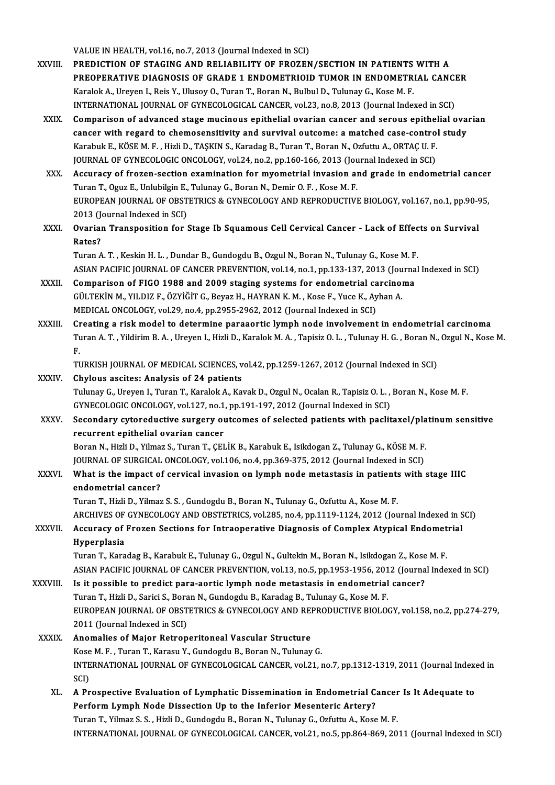VALUE IN HEALTH, vol.16, no.7, 2013 (Journal Indexed in SCI)

- VALUE IN HEALTH, vol.16, no.7, 2013 (Journal Indexed in SCI)<br>XXVIII. PREDICTION OF STAGING AND RELIABILITY OF FROZEN/SECTION IN PATIENTS WITH A VALUE IN HEALTH, vol.16, no.7, 2013 (Journal Indexed in SCI)<br>PREDICTION OF STAGING AND RELIABILITY OF FROZEN/SECTION IN PATIENTS WITH A<br>PREOPERATIVE DIAGNOSIS OF GRADE 1 ENDOMETRIOID TUMOR IN ENDOMETRIAL CANCER<br>Kanalak A. PREDICTION OF STAGING AND RELIABILITY OF FROZEN/SECTION IN PATIENTS<br>PREOPERATIVE DIAGNOSIS OF GRADE 1 ENDOMETRIOID TUMOR IN ENDOMETR<br>Karalok A., Ureyen I., Reis Y., Ulusoy O., Turan T., Boran N., Bulbul D., Tulunay G., Kos PREOPERATIVE DIAGNOSIS OF GRADE 1 ENDOMETRIOID TUMOR IN ENDOMETRIAL CANCI<br>Karalok A., Ureyen I., Reis Y., Ulusoy O., Turan T., Boran N., Bulbul D., Tulunay G., Kose M. F.<br>INTERNATIONAL JOURNAL OF GYNECOLOGICAL CANCER, vol. Karalok A., Ureyen I., Reis Y., Ulusoy O., Turan T., Boran N., Bulbul D., Tulunay G., Kose M. F.<br>INTERNATIONAL JOURNAL OF GYNECOLOGICAL CANCER, vol.23, no.8, 2013 (Journal Indexed in SCI)<br>XXIX. Comparison of advanced stage
	- INTERNATIONAL JOURNAL OF GYNECOLOGICAL CANCER, vol.23, no.8, 2013 (Journal Indexed in SCI)<br>Comparison of advanced stage mucinous epithelial ovarian cancer and serous epithelial ova<br>cancer with regard to chemosensitivity an cancer with regard to chemosensitivity and survival outcome: a matched case-control study<br>Karabuk E., KÖSE M. F., Hizli D., TAŞKIN S., Karadag B., Turan T., Boran N., Ozfuttu A., ORTAÇ U. F. cancer with regard to chemosensitivity and survival outcome: a matched case-contro<br>Karabuk E., KÖSE M. F. , Hizli D., TAŞKIN S., Karadag B., Turan T., Boran N., Ozfuttu A., ORTAÇ U. F.<br>JOURNAL OF GYNECOLOGIC ONCOLOGY, vol. Karabuk E., KÖSE M. F., Hizli D., TAŞKIN S., Karadag B., Turan T., Boran N., Ozfuttu A., ORTAÇ U. F.<br>JOURNAL OF GYNECOLOGIC ONCOLOGY, vol.24, no.2, pp.160-166, 2013 (Journal Indexed in SCI)<br>XXX. Accuracy of frozen-section
	- JOURNAL OF GYNECOLOGIC ONCOLOGY, vol.24, no.2, pp.160-166, 2013 (Jou<br>Accuracy of frozen-section examination for myometrial invasion and<br>Turan T., Oguz E., Unlubilgin E., Tulunay G., Boran N., Demir O. F. , Kose M. F.<br>FUROP Accuracy of frozen-section examination for myometrial invasion and grade in endometrial cancer<br>Turan T., Oguz E., Unlubilgin E., Tulunay G., Boran N., Demir O. F. , Kose M. F.<br>EUROPEAN JOURNAL OF OBSTETRICS & GYNECOLOGY AN Turan T., Oguz E., Unlubilgin E., Tulunay G., Boran N., Demir O. F. , Kose M. F.<br>EUROPEAN JOURNAL OF OBSTETRICS & GYNECOLOGY AND REPRODUCTIVE BIOLOGY, vol.167, no.1, pp.90-95,<br>2013 (Journal Indexed in SCI) EUROPEAN JOURNAL OF OBSTETRICS & GYNECOLOGY AND REPRODUCTIVE BIOLOGY, vol.167, no.1, pp.90-9<br>2013 (Journal Indexed in SCI)<br>XXXI. Ovarian Transposition for Stage Ib Squamous Cell Cervical Cancer - Lack of Effects on Surviva
	- 2013 (J)<br>Ovarial<br>Rates?<br>Turen A Ovarian Transposition for Stage Ib Squamous Cell Cervical Cancer - Lack of Effec<br>Rates?<br>Turan A.T., Keskin H. L., Dundar B., Gundogdu B., Ozgul N., Boran N., Tulunay G., Kose M. F.<br>ASIAN PACIEIC JOUPNAL OF CANCER PREVENTIO

Rates?<br>Turan A. T. , Keskin H. L. , Dundar B., Gundogdu B., Ozgul N., Boran N., Tulunay G., Kose M. F.<br>ASIAN PACIFIC JOURNAL OF CANCER PREVENTION, vol.14, no.1, pp.133-137, 2013 (Journal Indexed in SCI) Turan A. T., Keskin H. L., Dundar B., Gundogdu B., Ozgul N., Boran N., Tulunay G., Kose M. F<br>ASIAN PACIFIC JOURNAL OF CANCER PREVENTION, vol.14, no.1, pp.133-137, 2013 (Journa<br>XXXII. Comparison of FIGO 1988 and 2009 stagin

- ASIAN PACIFIC JOURNAL OF CANCER PREVENTION, vol.14, no.1, pp.133-137, 2013 (Jou<br>Comparison of FIGO 1988 and 2009 staging systems for endometrial carcinol<br>GÜLTEKİN M., YILDIZ F., ÖZYİĞİT G., Beyaz H., HAYRAN K.M. , Kose F., Comparison of FIGO 1988 and 2009 staging systems for endometrial ca<br>GÜLTEKİN M., YILDIZ F., ÖZYİĞİT G., Beyaz H., HAYRAN K. M. , Kose F., Yuce K., Ay<br>MEDICAL ONCOLOGY, vol.29, no.4, pp.2955-2962, 2012 (Journal Indexed in S GÜLTEKİN M., YILDIZ F., ÖZYİĞİT G., Beyaz H., HAYRAN K. M. , Kose F., Yuce K., Ayhan A.<br>MEDICAL ONCOLOGY, vol.29, no.4, pp.2955-2962, 2012 (Journal Indexed in SCI)<br>XXXIII. Creating a risk model to determine paraaortic
- Turan A. T. , Yildirim B. A. , Ureyen I., Hizli D., Karalok M. A. , Tapisiz O. L. , Tulunay H. G. , Boran N., Ozgul N., Kose M.<br>F. Cr<br>Tւ<br>F. Turan A. T. , Yildirim B. A. , Ureyen I., Hizli D., Karalok M. A. , Tapisiz O. L. , Tulunay H. G. , Boran N.,<br>F.<br>TURKISH JOURNAL OF MEDICAL SCIENCES, vol.42, pp.1259-1267, 2012 (Journal Indexed in SCI)<br>Chylous assites: Ana F.<br>TURKISH JOURNAL OF MEDICAL SCIENCES, v<br>XXXIV. Chylous ascites: Analysis of 24 patients<br>Tulupay G. Urayan L. Turan T. Karalak A. Kar

TURKISH JOURNAL OF MEDICAL SCIENCES, vol.42, pp.1259-1267, 2012 (Journal Indexed in SCI)<br>Chylous ascites: Analysis of 24 patients<br>Tulunay G., Ureyen I., Turan T., Karalok A., Kavak D., Ozgul N., Ocalan R., Tapisiz O. L. , Chylous ascites: Analysis of 24 patients<br>Tulunay G., Ureyen I., Turan T., Karalok A., Kavak D., Ozgul N., Ocalan R., Tapisiz O. L. , Boran N., Kose M. F<br>GYNECOLOGIC ONCOLOGY, vol.127, no.1, pp.191-197, 2012 (Journal Indexe

XXXV. Secondary cytoreductive surgery outcomes of selected patients with paclitaxel/platinumsensitive recurrent epithelial ovarian cancer Secondary cytoreductive surgery outcomes of selected patients with paclitaxel/pla<br>recurrent epithelial ovarian cancer<br>Boran N., Hizli D., Yilmaz S., Turan T., ÇELİK B., Karabuk E., Isikdogan Z., Tulunay G., KÖSE M. F.<br>JOUP

recurrent epithelial ovarian cancer<br>Boran N., Hizli D., Yilmaz S., Turan T., ÇELİK B., Karabuk E., Isikdogan Z., Tulunay G., KÖSE M. F.<br>JOURNAL OF SURGICAL ONCOLOGY, vol.106, no.4, pp.369-375, 2012 (Journal Indexed in SCI) Boran N., Hizli D., Yilmaz S., Turan T., ÇELİK B., Karabuk E., Isikdogan Z., Tulunay G., KÖSE M. F.<br>JOURNAL OF SURGICAL ONCOLOGY, vol.106, no.4, pp.369-375, 2012 (Journal Indexed in SCI)<br>XXXVI. What is the impact of cervic

JOURNAL OF SURGICAL<br>What is the impact of<br>endometrial cancer?<br>Turer T. Hirli D. Vilmer What is the impact of cervical invasion on lymph node metastasis in patients<br>endometrial cancer?<br>Turan T., Hizli D., Yilmaz S.S. , Gundogdu B., Boran N., Tulunay G., Ozfuttu A., Kose M. F.<br>ARCHIVES OF CYNECOLOCY AND OBSTET endometrial cancer?<br>Turan T., Hizli D., Yilmaz S. S. , Gundogdu B., Boran N., Tulunay G., Ozfuttu A., Kose M. F.<br>ARCHIVES OF GYNECOLOGY AND OBSTETRICS, vol.285, no.4, pp.1119-1124, 2012 (Journal Indexed in SCI)<br>Accuracy of

## Turan T., Hizli D., Yilmaz S. S. , Gundogdu B., Boran N., Tulunay G., Ozfuttu A., Kose M. F.<br>ARCHIVES OF GYNECOLOGY AND OBSTETRICS, vol.285, no.4, pp.1119-1124, 2012 (Journal Indexed in S<br>XXXVII. Accuracy of Frozen Section ARCHIVES OF<br><mark>Accuracy of</mark><br>Hyperplasia<br>Turan T. Kara Accuracy of Frozen Sections for Intraoperative Diagnosis of Complex Atypical Endomet<br>Hyperplasia<br>Turan T., Karadag B., Karabuk E., Tulunay G., Ozgul N., Gultekin M., Boran N., Isikdogan Z., Kose M. F.<br>ASIAN PACIEIC JOUPNAL

Hyperplasia<br>Turan T., Karadag B., Karabuk E., Tulunay G., Ozgul N., Gultekin M., Boran N., Isikdogan Z., Kose M. F.<br>ASIAN PACIFIC JOURNAL OF CANCER PREVENTION, vol.13, no.5, pp.1953-1956, 2012 (Journal Indexed in SCI)<br>Is i Turan T., Karadag B., Karabuk E., Tulunay G., Ozgul N., Gultekin M., Boran N., Isikdogan Z., Kose<br>ASIAN PACIFIC JOURNAL OF CANCER PREVENTION, vol.13, no.5, pp.1953-1956, 2012 (Journa<br>XXXVIII. Is it possible to predict para

## ASIAN PACIFIC JOURNAL OF CANCER PREVENTION, vol.13, no.5, pp.1953-1956, 201<br>Is it possible to predict para-aortic lymph node metastasis in endometrial<br>Turan T., Hizli D., Sarici S., Boran N., Gundogdu B., Karadag B., Tulun EUROPEAN JOURNAL OF OBSTETRICS & GYNECOLOGY AND REPRODUCTIVE BIOLOGY, vol.158, no.2, pp.274-279,<br>2011 (Journal Indexed in SCI) Turan T., Hizli D., Sarici S., Bora<br>EUROPEAN JOURNAL OF OBST<br>2011 (Journal Indexed in SCI)<br>Anomalias of Maiar Batron EUROPEAN JOURNAL OF OBSTETRICS & GYNECOLOGY AND REI<br>2011 (Journal Indexed in SCI)<br>XXXIX. Anomalies of Major Retroperitoneal Vascular Structure

## 2011 (Journal Indexed in SCI)<br>Anomalies of Major Retroperitoneal Vascular Structure<br>Kose M. F. , Turan T., Karasu Y., Gundogdu B., Boran N., Tulunay G.<br>INTERNATIONAL JOURNAL OF CYNECOLOGICAL CANCER, 119,22, 3 Anomalies of Major Retroperitoneal Vascular Structure<br>Kose M. F. , Turan T., Karasu Y., Gundogdu B., Boran N., Tulunay G.<br>INTERNATIONAL JOURNAL OF GYNECOLOGICAL CANCER, vol.21, no.7, pp.1312-1319, 2011 (Journal Indexed in<br> Kose<br>INTE<br>SCI)<br>A Pr INTERNATIONAL JOURNAL OF GYNECOLOGICAL CANCER, vol.21, no.7, pp.1312-1319, 2011 (Journal Index SCI)<br>SCI)<br>XL. A Prospective Evaluation of Lymphatic Dissemination in Endometrial Cancer Is It Adequate to<br>Referent Lymph Nede D

SCI)<br>A Prospective Evaluation of Lymphatic Dissemination in Endometrial C.<br>Perform Lymph Node Dissection Up to the Inferior Mesenteric Artery?<br>Turen T. Vilmar S.S., Higli D. Gundordu P. Boran N. Tulunay G. Orfutu A. Koss A Prospective Evaluation of Lymphatic Dissemination in Endometrial Cancer<br>Perform Lymph Node Dissection Up to the Inferior Mesenteric Artery?<br>Turan T., Yilmaz S. S. , Hizli D., Gundogdu B., Boran N., Tulunay G., Ozfuttu A. Perform Lymph Node Dissection Up to the Inferior Mesenteric Artery?<br>Turan T., Yilmaz S. S. , Hizli D., Gundogdu B., Boran N., Tulunay G., Ozfuttu A., Kose M. F.<br>INTERNATIONAL JOURNAL OF GYNECOLOGICAL CANCER, vol.21, no.5,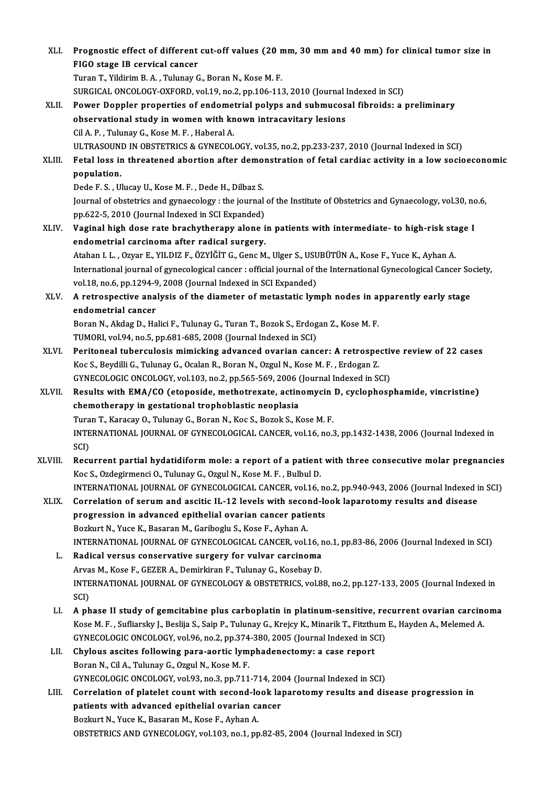| XLI.    | Prognostic effect of different cut-off values (20 mm, 30 mm and 40 mm) for clinical tumor size in                                                                             |
|---------|-------------------------------------------------------------------------------------------------------------------------------------------------------------------------------|
|         | FIGO stage IB cervical cancer                                                                                                                                                 |
|         | Turan T., Yildirim B. A., Tulunay G., Boran N., Kose M. F.                                                                                                                    |
|         | SURGICAL ONCOLOGY-OXFORD, vol.19, no.2, pp.106-113, 2010 (Journal Indexed in SCI)                                                                                             |
| XLII.   | Power Doppler properties of endometrial polyps and submucosal fibroids: a preliminary                                                                                         |
|         | observational study in women with known intracavitary lesions                                                                                                                 |
|         | Cil A. P., Tulunay G., Kose M. F., Haberal A.                                                                                                                                 |
|         | ULTRASOUND IN OBSTETRICS & GYNECOLOGY, vol.35, no.2, pp.233-237, 2010 (Journal Indexed in SCI)                                                                                |
| XLIII.  | Fetal loss in threatened abortion after demonstration of fetal cardiac activity in a low socioeconomic                                                                        |
|         | population.                                                                                                                                                                   |
|         | Dede F. S., Ulucay U., Kose M. F., Dede H., Dilbaz S.                                                                                                                         |
|         | Journal of obstetrics and gynaecology : the journal of the Institute of Obstetrics and Gynaecology, vol.30, no.6,                                                             |
|         | pp.622-5, 2010 (Journal Indexed in SCI Expanded)                                                                                                                              |
| XLIV.   | Vaginal high dose rate brachytherapy alone in patients with intermediate- to high-risk stage I                                                                                |
|         | endometrial carcinoma after radical surgery.                                                                                                                                  |
|         | Atahan I. L., Ozyar E., YILDIZ F., ÖZYİĞİT G., Genc M., Ulger S., USUBÜTÜN A., Kose F., Yuce K., Ayhan A.                                                                     |
|         | International journal of gynecological cancer : official journal of the International Gynecological Cancer Society,                                                           |
|         | vol.18, no.6, pp.1294-9, 2008 (Journal Indexed in SCI Expanded)                                                                                                               |
| XLV.    | A retrospective analysis of the diameter of metastatic lymph nodes in apparently early stage                                                                                  |
|         | endometrial cancer                                                                                                                                                            |
|         | Boran N., Akdag D., Halici F., Tulunay G., Turan T., Bozok S., Erdogan Z., Kose M. F.                                                                                         |
|         | TUMORI, vol.94, no.5, pp.681-685, 2008 (Journal Indexed in SCI)                                                                                                               |
| XLVI.   | Peritoneal tuberculosis mimicking advanced ovarian cancer: A retrospective review of 22 cases                                                                                 |
|         | Koc S., Beydilli G., Tulunay G., Ocalan R., Boran N., Ozgul N., Kose M. F., Erdogan Z.                                                                                        |
|         | GYNECOLOGIC ONCOLOGY, vol.103, no.2, pp.565-569, 2006 (Journal Indexed in SCI)                                                                                                |
| XLVII.  | Results with EMA/CO (etoposide, methotrexate, actinomycin D, cyclophosphamide, vincristine)                                                                                   |
|         | chemotherapy in gestational trophoblastic neoplasia                                                                                                                           |
|         | Turan T., Karacay O., Tulunay G., Boran N., Koc S., Bozok S., Kose M. F.                                                                                                      |
|         | INTERNATIONAL JOURNAL OF GYNECOLOGICAL CANCER, vol.16, no.3, pp.1432-1438, 2006 (Journal Indexed in<br>SCI)                                                                   |
| XLVIII. | Recurrent partial hydatidiform mole: a report of a patient with three consecutive molar pregnancies                                                                           |
|         | Koc S., Ozdegirmenci O., Tulunay G., Ozgul N., Kose M. F., Bulbul D.                                                                                                          |
|         | INTERNATIONAL JOURNAL OF GYNECOLOGICAL CANCER, vol.16, no.2, pp.940-943, 2006 (Journal Indexed in SCI)                                                                        |
| XLIX.   | Correlation of serum and ascitic IL-12 levels with second-look laparotomy results and disease                                                                                 |
|         | progression in advanced epithelial ovarian cancer patients                                                                                                                    |
|         | Bozkurt N., Yuce K., Basaran M., Gariboglu S., Kose F., Ayhan A.                                                                                                              |
|         | INTERNATIONAL JOURNAL OF GYNECOLOGICAL CANCER, vol.16, no.1, pp.83-86, 2006 (Journal Indexed in SCI)                                                                          |
| L.      | Radical versus conservative surgery for vulvar carcinoma                                                                                                                      |
|         | Arvas M., Kose F., GEZER A., Demirkiran F., Tulunay G., Kosebay D.                                                                                                            |
|         | INTERNATIONAL JOURNAL OF GYNECOLOGY & OBSTETRICS, vol.88, no.2, pp.127-133, 2005 (Journal Indexed in                                                                          |
|         | SCI)                                                                                                                                                                          |
| LI.     | A phase II study of gemcitabine plus carboplatin in platinum-sensitive, recurrent ovarian carcinoma                                                                           |
|         | Kose M. F., Sufliarsky J., Beslija S., Saip P., Tulunay G., Krejcy K., Minarik T., Fitzthum E., Hayden A., Melemed A.                                                         |
|         | GYNECOLOGIC ONCOLOGY, vol.96, no.2, pp.374-380, 2005 (Journal Indexed in SCI)                                                                                                 |
| LII.    | Chylous ascites following para-aortic lymphadenectomy: a case report                                                                                                          |
|         | Boran N., Cil A., Tulunay G., Ozgul N., Kose M. F.                                                                                                                            |
| LIII.   | GYNECOLOGIC ONCOLOGY, vol.93, no.3, pp.711-714, 2004 (Journal Indexed in SCI)<br>Correlation of platelet count with second-look laparotomy results and disease progression in |
|         | patients with advanced epithelial ovarian cancer                                                                                                                              |
|         | Bozkurt N., Yuce K., Basaran M., Kose F., Ayhan A.                                                                                                                            |
|         | OBSTETRICS AND GYNECOLOGY, vol.103, no.1, pp.82-85, 2004 (Journal Indexed in SCI)                                                                                             |
|         |                                                                                                                                                                               |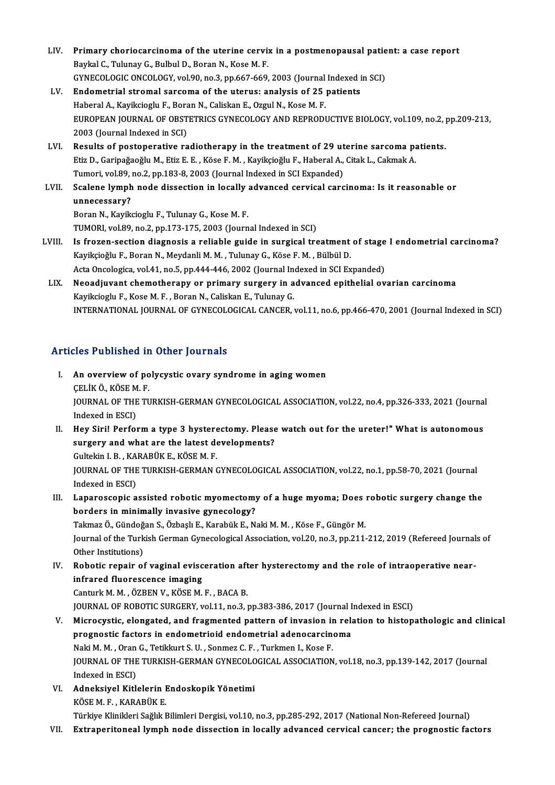- LIV. Primary choriocarcinoma of the uterine cervix in a postmenopausal patient: a case report Baykal C., Tulunay G., Bulbul D., Boran N., Kose M. F. Primary choriocarcinoma of the uterine cervix in a postmenopausal patie<br>Baykal C., Tulunay G., Bulbul D., Boran N., Kose M. F.<br>GYNECOLOGIC ONCOLOGY, vol.90, no.3, pp.667-669, 2003 (Journal Indexed in SCI)<br>Endematrial strom GYNECOLOGIC ONCOLOGY, vol.90, no.3, pp.667-669, 2003 (Journal Indexed in SCI)
- LV. Endometrial stromal sarcoma of the uterus: analysis of 25 patients<br>Haberal A., Kayikcioglu F., Boran N., Caliskan E., Ozgul N., Kose M. F. Endometrial stromal sarcoma of the uterus: analysis of 25 patients<br>Haberal A., Kayikcioglu F., Boran N., Caliskan E., Ozgul N., Kose M. F.<br>EUROPEAN JOURNAL OF OBSTETRICS GYNECOLOGY AND REPRODUCTIVE BIOLOGY, vol.109, no.2, Haberal A., Kayikcioglu F., Bora<br>EUROPEAN JOURNAL OF OBST<br>2003 (Journal Indexed in SCI)<br>Bosults of nostanorative ra EUROPEAN JOURNAL OF OBSTETRICS GYNECOLOGY AND REPRODUCTIVE BIOLOGY, vol.109, no.2, 1<br>2003 (Journal Indexed in SCI)<br>LVI. Results of postoperative radiotherapy in the treatment of 29 uterine sarcoma patients.
- 2003 (Journal Indexed in SCI)<br>Results of postoperative radiotherapy in the treatment of 29 uterine sarcoma patients.<br>Etiz D., Garipağaoğlu M., Etiz E. E. , Köse F. M. , Kayikçioğlu F., Haberal A., Citak L., Cakmak A. Results of postoperative radiotherapy in the treatment of 29 ut<br>Etiz D., Garipağaoğlu M., Etiz E. E. , Köse F. M. , Kayikçioğlu F., Haberal A.,<br>Tumori, vol.89, no.2, pp.183-8, 2003 (Journal Indexed in SCI Expanded)<br>Sealane Etiz D., Garipağaoğlu M., Etiz E. E. , Köse F. M. , Kayikçioğlu F., Haberal A., Citak L., Cakmak A.<br>Tumori, vol.89, no.2, pp.183-8, 2003 (Journal Indexed in SCI Expanded)<br>LVII. Scalene lymph node dissection in locally adva
- Tumori, vol.89,<br>Scalene lymph<br>unnecessary?<br>Poren N. Kovik Scalene lymph node dissection in locally<br>unnecessary?<br>Boran N., Kayikcioglu F., Tulunay G., Kose M. F.<br>TUMOBL vol 80 no 2 nn 172 175 2002 (Journ unnecessary?<br>Boran N., Kayikcioglu F., Tulunay G., Kose M. F.<br>TUMORI, vol.89, no.2, pp.173-175, 2003 (Journal Indexed in SCI)
- LVIII. Is frozen-section diagnosis a reliable guide in surgical treatment of stage I endometrial carcinoma? TUMORI, vol.89, no.2, pp.173-175, 2003 (Journal Indexed in SCI)<br>Is frozen-section diagnosis a reliable guide in surgical treatment<br>Kayikçioğlu F., Boran N., Meydanli M. M. , Tulunay G., Köse F. M. , Bülbül D.<br>Asta Ongalagi Is frozen-section diagnosis a reliable guide in surgical treatment of stage<br>Kayikçioğlu F., Boran N., Meydanli M. M. , Tulunay G., Köse F. M. , Bülbül D.<br>Acta Oncologica, vol.41, no.5, pp.444-446, 2002 (Journal Indexed in Kayikçioğlu F., Boran N., Meydanli M. M. , Tulunay G., Köse F. M. , Bülbül D.<br>Acta Oncologica, vol.41, no.5, pp.444-446, 2002 (Journal Indexed in SCI Expanded)<br>LIX. Neoadjuvant chemotherapy or primary surgery in advanced e
	- Acta Oncologica, vol.41, no.5, pp.444-446, 2002 (Journal In<br>Neoadjuvant chemotherapy or primary surgery in a<br>Kayikcioglu F., Kose M. F. , Boran N., Caliskan E., Tulunay G.<br>INTERNATIONAL JOURNAL OF GYNEGOLOGICAL GANGER Neoadjuvant chemotherapy or primary surgery in advanced epithelial ovarian carcinoma<br>Kayikcioglu F., Kose M. F. , Boran N., Caliskan E., Tulunay G.<br>INTERNATIONAL JOURNAL OF GYNECOLOGICAL CANCER, vol.11, no.6, pp.466-470, 2 INTERNATIONAL JOURNAL OF GYNECOLOGICAL CANCER, vol.11, no.6, pp.466-470, 2001 (Journal Indexed in SCI)<br>Articles Published in Other Journals

- rticles Published in Other Journals<br>I. An overview of polycystic ovary syndrome in aging women<br>CELIVÖ VÖSEM E An overview of po<br>An overview of po<br>CELIKÖ., KÖSE M. F.<br>JOUPMAL OF THE TI An overview of polycystic ovary syndrome in aging women<br>ÇELİK Ö., KÖSE M. F.<br>JOURNAL OF THE TURKISH-GERMAN GYNECOLOGICAL ASSOCIATION, vol.22, no.4, pp.326-333, 2021 (Journal<br>Indexed in ESCD CELIK Ö., KÖSE M<br>JOURNAL OF THE<br>Indexed in ESCI)<br>Hou Siril Porfol JOURNAL OF THE TURKISH-GERMAN GYNECOLOGICAL ASSOCIATION, vol.22, no.4, pp.326-333, 2021 (Journal<br>Indexed in ESCI)<br>II. Hey Siri! Perform a type 3 hysterectomy. Please watch out for the ureter!" What is autonomous<br>surgery an
- Indexed in ESCI)<br>Hey Siri! Perform a type 3 hysterectomy. Please<br>surgery and what are the latest developments?<br>Cultekin L.B., KARAPÜK F. KÖSEM F. Hey Siri! Perform a type 3 hystere<br>surgery and what are the latest de<br>Gultekin I. B. , KARABÜK E., KÖSE M. F.<br>JOUPMAL OF THE TUPLISH CEPMAN ( surgery and what are the latest developments?<br>Gultekin I. B. , KARABÜK E., KÖSE M. F.<br>JOURNAL OF THE TURKISH-GERMAN GYNECOLOGICAL ASSOCIATION, vol.22, no.1, pp.58-70, 2021 (Journal<br>Indeved in ESCD Gultekin I. B. , KA<br>JOURNAL OF THE<br>Indexed in ESCI)<br>Lananassania a JOURNAL OF THE TURKISH-GERMAN GYNECOLOGICAL ASSOCIATION, vol.22, no.1, pp.58-70, 2021 (Journal<br>Indexed in ESCI)<br>III. Laparoscopic assisted robotic myomectomy of a huge myoma; Does robotic surgery change the<br>hardors in mini
- Indexed in ESCI)<br>Laparoscopic assisted robotic myomectomy<br>borders in minimally invasive gynecology?<br>Telmer Ö. Cündeğen S. Örbeek E. Karebük E. M Laparoscopic assisted robotic myomectomy of a huge myoma; Does<br>borders in minimally invasive gynecology?<br>Takmaz Ö., Gündoğan S., Özbaşlı E., Karabük E., Naki M. M. , Köse F., Güngör M.<br>Journal of the Turkish Cerman Cynecol

borders in minimally invasive gynecology?<br>Takmaz Ö., Gündoğan S., Özbaşlı E., Karabük E., Naki M. M. , Köse F., Güngör M.<br>Journal of the Turkish German Gynecological Association, vol.20, no.3, pp.211-212, 2019 (Refereed Jo Takmaz Ö., Gündoğan S., Özbaşlı E., Karabük E., Naki M. M., Köse F., Güngör M. Journal of the Turkish German Gynecological Association, vol.20, no.3, pp.211-212, 2019 (Refereed Journal<br>Other Institutions)<br>IV. Robotic repair of vaginal evisceration after hysterectomy and the role of intraoperative nea

Other Institutions)<br>Robotic repair of vaginal evisc<br>infrared fluorescence imaging<br>Canturk M. M. ÖZPEN V. KÖSE M Robotic repair of vaginal evisceration aft<br>infrared fluorescence imaging<br>Canturk M.M., ÖZBEN V., KÖSE M. F., BACA B.<br>JOUPMAL OF POPOTIC SUPCEPY vol 11 no 3 1 infrared fluorescence imaging<br>Canturk M. M. , ÖZBEN V., KÖSE M. F. , BACA B.<br>JOURNAL OF ROBOTIC SURGERY, vol.11, no.3, pp.383-386, 2017 (Journal Indexed in ESCI)<br>Misrosystia, clangated, and fragmented nattern of invesion i

- Canturk M. M., ÖZBEN V., KÖSE M. F., BACA B.<br>JOURNAL OF ROBOTIC SURGERY, vol.11, no.3, pp.383-386, 2017 (Journal Indexed in ESCI)<br>V. Microcystic, elongated, and fragmented pattern of invasion in relation to histopathologic JOURNAL OF ROBOTIC SURGERY, vol.11, no.3, pp.383-386, 2017 (Journal I<br>Microcystic, elongated, and fragmented pattern of invasion in rela<br>prognostic factors in endometrioid endometrial adenocarcinoma<br>Naki M. M. Oran G. Teti Naki M. M., Oran G., Tetikkurt S. U., Sonmez C. F., Turkmen I., Kose F. prognostic factors in endometrioid endometrial adenocarcinoma<br>Naki M. M. , Oran G., Tetikkurt S. U. , Sonmez C. F. , Turkmen I., Kose F.<br>JOURNAL OF THE TURKISH-GERMAN GYNECOLOGICAL ASSOCIATION, vol.18, no.3, pp.139-142, 20 Naki M. M. , Oran<br>JOURNAL OF THE<br>Indexed in ESCI)<br>Adnokaivel Kitl JOURNAL OF THE TURKISH-GERMAN GYNECOLO<br>Indexed in ESCI)<br>VI. Adneksiyel Kitlelerin Endoskopik Yönetimi<br>*V*ÖSEM E. KARAPÜK E
- Indexed in ESCI)<br><mark>Adneksiyel Kitlelerin I</mark><br>KÖSE M. F. , KARABÜK E.<br>Türkiye Klinikleri Seğlık I Adneksiyel Kitlelerin Endoskopik Yönetimi<br>KÖSE M. F. , KARABÜK E.<br>Türkiye Klinikleri Sağlık Bilimleri Dergisi, vol.10, no.3, pp.285-292, 2017 (National Non-Refereed Journal)<br>Eutroperitoneal lumph pode dissestion in losally

KÖSE M. F. , KARABÜK E.<br>Türkiye Klinikleri Sağlık Bilimleri Dergisi, vol.10, no.3, pp.285-292, 2017 (National Non-Refereed Journal)<br>VII. Extraperitoneal lymph node dissection in locally advanced cervical cancer; the pr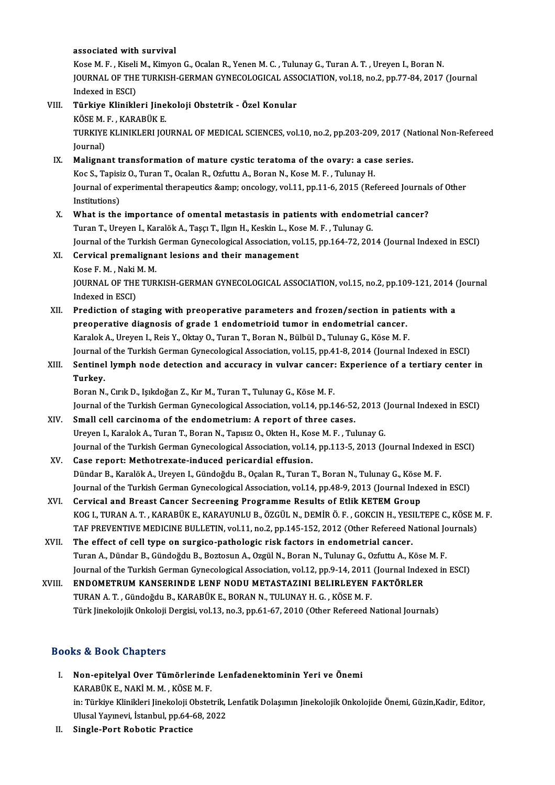### associated with survival

Kose M. F., Kiseli M., Kimyon G., Ocalan R., Yenen M. C., Tulunay G., Turan A. T., Ureyen I., Boran N. associated with survival<br>Kose M. F. , Kiseli M., Kimyon G., Ocalan R., Yenen M. C. , Tulunay G., Turan A. T. , Ureyen I., Boran N.<br>JOURNAL OF THE TURKISH-GERMAN GYNECOLOGICAL ASSOCIATION, vol.18, no.2, pp.77-84, 2017 (Jour Kose M. F. , Kiseli<br>JOURNAL OF THE<br>Indexed in ESCI)<br>Türkiye Klinikle VI I. Türkiye Klinikleri Jinekoloji Obstetrik - Özel Konular Indexed in ESCI)<br><mark>Türkiye Klinikleri Jine</mark><br>KÖSE M. F. , KARABÜK E.<br>TURKIYE KLINIKLERI IOI

Türkiye Klinikleri Jinekoloji Obstetrik - Özel Konular<br>KÖSE M. F. , KARABÜK E.<br>TURKIYE KLINIKLERI JOURNAL OF MEDICAL SCIENCES, vol.10, no.2, pp.203-209, 2017 (National Non-Refereed<br>Journal) KÖSE M.<br>TURKIYE<br>Journal)<br>Maligna TURKIYE KLINIKLERI JOURNAL OF MEDICAL SCIENCES, vol.10, no.2, pp.203-209, 2017 (Na<br>Journal)<br>IX. Malignant transformation of mature cystic teratoma of the ovary: a case series.<br>*Kos S. Topisiz O. Turon T. Osalan B. Osfuttu* 

Journal)<br>Malignant transformation of mature cystic teratoma of the ovary: a cas<br>Koc S., Tapisiz O., Turan T., Ocalan R., Ozfuttu A., Boran N., Kose M. F. , Tulunay H.<br>Journal of experimental therapeutics Sampy ongelegy, yo Malignant transformation of mature cystic teratoma of the ovary: a case series.<br>Koc S., Tapisiz O., Turan T., Ocalan R., Ozfuttu A., Boran N., Kose M. F. , Tulunay H.<br>Journal of experimental therapeutics &amp; oncology, vo Koc S., Tapisi<br>Journal of ex<br>Institutions)<br>What is the Journal of experimental therapeutics & oncology, vol.11, pp.11-6, 2015 (Refereed Journals<br>Institutions)<br>X. What is the importance of omental metastasis in patients with endometrial cancer?<br>Turner T. Unaver L. Kanalak A

Institutions)<br>Turan T., Ureyen I., Karalök A., Taşçı T., Ilgın H., Keskin L., Kose M. F. , Tulunay G.<br>Turan T., Ureyen I., Karalök A., Taşçı T., Ilgın H., Keskin L., Kose M. F. , Tulunay G. What is the importance of omental metastasis in patients with endometrial cancer?<br>Turan T., Ureyen I., Karalök A., Taşçı T., Ilgın H., Keskin L., Kose M. F. , Tulunay G.<br>Journal of the Turkish German Gynecological Associat

## XI. Cervical premalignant lesions and their management Journal of the Turkish<br>Cervical premaligna<br>Kose F. M. , Naki M. M.<br>JOUPNAL OF THE TUP Kose F. M., Naki M. M.

JOURNAL OF THE TURKISH-GERMAN GYNECOLOGICAL ASSOCIATION, vol.15, no.2, pp.109-121, 2014 (Journal Indexed in ESCI) JOURNAL OF THE TURKISH-GERMAN GYNECOLOGICAL ASSOCIATION, vol.15, no.2, pp.109-121, 2014 (<br>Indexed in ESCI)<br>XII. Prediction of staging with preoperative parameters and frozen/section in patients with a<br>neconorative diagnosi

Indexed in ESCI)<br>Prediction of staging with preoperative parameters and frozen/section in pati<br>preoperative diagnosis of grade 1 endometrioid tumor in endometrial cancer.<br>Karalak A. Urayan L. Bejs X. Oktay O. Turan T. Bera Prediction of staging with preoperative parameters and frozen/section in pation preoperative diagnosis of grade 1 endometrioid tumor in endometrial cancer.<br>Karalok A., Ureyen I., Reis Y., Oktay O., Turan T., Boran N., Bülb preoperative diagnosis of grade 1 endometrioid tumor in endometrial cancer.<br>Karalok A., Ureyen I., Reis Y., Oktay O., Turan T., Boran N., Bülbül D., Tulunay G., Köse M. F.<br>Journal of the Turkish German Gynecological Associ Karalok A., Ureyen I., Reis Y., Oktay O., Turan T., Boran N., Bülbül D., Tulunay G., Köse M. F.<br>Journal of the Turkish German Gynecological Association, vol.15, pp.41-8, 2014 (Journal Indexed in ESCI)<br>XIII. Sentinel lymph

## Journal <mark>o</mark><br>Sentine!<br>Turkey. Sentinel lymph node detection and accuracy in vulvar cancer:<br>Turkey.<br>Boran N., Cırık D., Işıkdoğan Z., Kır M., Turan T., Tulunay G., Köse M. F.<br>Journal of the Turkish Cerman Cuneselesisel Assosiation vel 14. pp 1.

Turkey.<br>Boran N., Cırık D., Işıkdoğan Z., Kır M., Turan T., Tulunay G., Köse M. F.<br>Journal of the Turkish German Gynecological Association, vol.14, pp.146-52, 2013 (Journal Indexed in ESCI)

XIV. Small cell carcinoma of the endometrium: A report of three cases. Journal of the Turkish German Gynecological Association, vol.14, pp.146-52, 2013 (<br>Small cell carcinoma of the endometrium: A report of three cases.<br>Ureyen L, Karalok A., Turan T., Boran N., Tapısız O., Okten H., Kose M. F Journal of the Turkish German Gynecological Association, vol.14, pp.113-5, 2013 (Journal Indexed in ESCI) XV. Case report: Methotrexate-induced pericardial effusion. Ureyen I., Karalok A., Turan T., Boran N., Tapısız O., Okten H., Kos<br>Journal of the Turkish German Gynecological Association, vol.14<br>XV. Case report: Methotrexate-induced pericardial effusion.<br>Dünder B. Karalök A. Ureyen L

DündarB.,KaralökA.,UreyenI.,GündoğduB.,OçalanR.,TuranT.,BoranN.,TulunayG.,KöseM.F. Case report: Methotrexate-induced pericardial effusion.<br>Dündar B., Karalök A., Ureyen I., Gündoğdu B., Oçalan R., Turan T., Boran N., Tulunay G., Köse M. F.<br>Journal of the Turkish German Gynecological Association, vol.14, Dündar B., Karalök A., Ureyen I., Gündoğdu B., Oçalan R., Turan T., Boran N., Tulunay G., Köse<br>Journal of the Turkish German Gynecological Association, vol.14, pp.48-9, 2013 (Journal Inde<br>XVI. Cervical and Breast Cancer Se

- Journal of the Turkish German Gynecological Association, vol.14, pp.48-9, 2013 (Journal Indexed in ESCI)<br>Cervical and Breast Cancer Secreening Programme Results of Etlik KETEM Group<br>KOG I., TURAN A. T. , KARABÜK E., KARAYU Cervical and Breast Cancer Secreening Programme Results of Etlik KETEM Group<br>KOG L, TURAN A. T. , KARABÜK E., KARAYUNLU B., ÖZGÜL N., DEMİR Ö. F. , GOKCIN H., YESILTEPE C., KÖSE M<br>TAF PREVENTIVE MEDICINE BULLETIN, vol.11, KOG I., TURAN A. T., KARABÜK E., KARAYUNLU B., ÖZGÜL N., DEMİR Ö. F., GOKCIN H., YESI<br>TAF PREVENTIVE MEDICINE BULLETIN, vol.11, no.2, pp.145-152, 2012 (Other Refereed N<br>XVII. The effect of cell type on surgico-pathologic r
- TAF PREVENTIVE MEDICINE BULLETIN, vol.11, no.2, pp.145-152, 2012 (Other Refereed National Jc<br>The effect of cell type on surgico-pathologic risk factors in endometrial cancer.<br>Turan A., Dündar B., Gündoğdu B., Boztosun A., The effect of cell type on surgico-pathologic risk factors in endometrial cancer.<br>Turan A., Dündar B., Gündoğdu B., Boztosun A., Ozgül N., Boran N., Tulunay G., Ozfuttu A., Köse M. F.<br>Journal of the Turkish German Gynecolo Turan A., Dündar B., Gündoğdu B., Boztosun A., Ozgül N., Boran N., Tulunay G., Ozfuttu A., Köse<br>Journal of the Turkish German Gynecological Association, vol.12, pp.9-14, 2011 (Journal Index<br>XVIII. ENDOMETRUM KANSERINDE LEN
- Journal of the Turkish German Gynecological Association, vol.12, pp.9-14, 2011 (Journal Indexed in ESCI)<br>ENDOMETRUM KANSERINDE LENF NODU METASTAZINI BELIRLEYEN FAKTÖRLER<br>TURAN A. T. , Gündoğdu B., KARABÜK E., BORAN N., TUL Türk Jinekolojik Onkoloji Dergisi, vol.13, no.3, pp.61-67, 2010 (Other Refereed National Journals)

## Books&Book Chapters

- OOks & Book Chapters<br>I. Non-epitelyal Over Tümörlerinde Lenfadenektominin Yeri ve Önemi<br>KARARÜK E. NAKİM M. KÖSEM E kə & Book unapters<br>Non-epitelyal Over Tümörlerinde<br>KARABÜKE., NAKİ M. M. , KÖSE M. F.<br>in: Türkiye Klinikleri linekeleji Obstat Non-epitelyal Over Tümörlerinde Lenfadenektominin Yeri ve Önemi<br>KARABÜK E., NAKİ M. M. , KÖSE M. F.<br>in: Türkiye Klinikleri Jinekoloji Obstetrik, Lenfatik Dolaşımın Jinekolojik Onkolojide Önemi, Güzin,Kadir, Editor,<br>Ulusel KARABÜK E., NAKİ M. M. , KÖSE M. F.<br>in: Türkiye Klinikleri Jinekoloji Obstetrik, İ<br>Ulusal Yayınevi, İstanbul, pp.64-68, 2022<br>Single, Bent Bebatis Brastise in: Türkiye Klinikleri Jinekoloji (<br>Ulusal Yayınevi, İstanbul, pp.64-<br>II. Single-Port Robotic Practice
-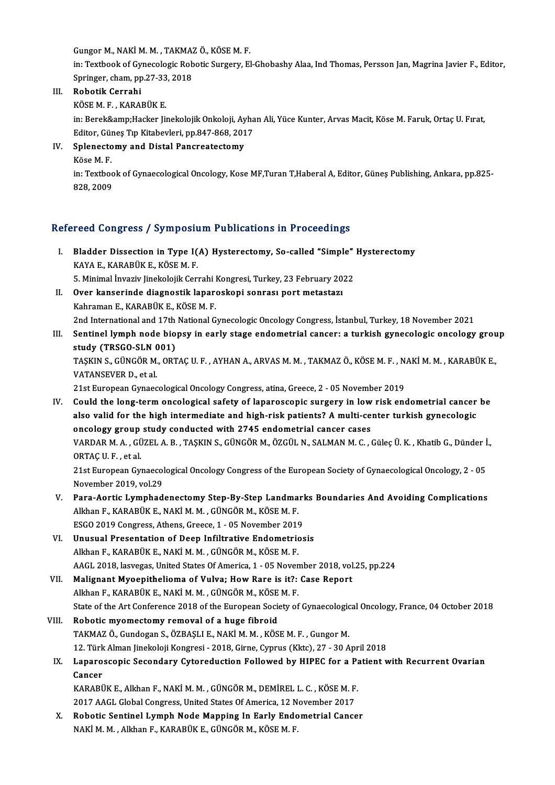Gungor M., NAKİ M. M. , TAKMAZ Ö., KÖSE M. F.<br>in: Teythook of Guneselegia Behatis Sungeny, El

in: Textbook of Gynecologic Robotic Surgery, El-Ghobashy Alaa, Ind Thomas, Persson Jan, Magrina Javier F., Editor, Gungor M., NAKİ M. M. , TAKMAZ<br>in: Textbook of Gynecologic Rob<br>Springer, cham, pp.27-33, 2018<br>Robotik Connabi Springer, cham, pp.27-33, 2018

III. Robotik Cerrahi<br>KÖSE M. F., KARABÜK E.

Robotik Cerrahi<br>KÖSE M. F. , KARABÜK E.<br>in: Berek&amp;Hacker Jinekolojik Onkoloji, Ayhan Ali, Yüce Kunter, Arvas Macit, Köse M. Faruk, Ortaç U. Fırat,<br>Editor, Günes Tın Kitabeyleri, pp.947,969,2017 KÖSE M. F. , KARABÜK E.<br>in: Berek&amp;Hacker Jinekolojik Onkoloji, Ayha<br>Editor, Güneş Tıp Kitabevleri, pp.847-868, 2017<br>Splanestamy, and Distal Bansreatestamy. Editor, Güneş Tıp Kitabevleri, pp.847-868, 2017

IV. Splenectomy and Distal Pancreatectomy

Splenectomy and Distal Pancreatectomy<br>Köse M. F.<br>in: Textbook of Gynaecological Oncology, Kose MF,Turan T,Haberal A, Editor, Güneş Publishing, Ankara, pp.825-<br>828-2009 Köse M. F.<br>in: Textboo<br>828, 2009

# 828, 2009<br>Refereed Congress / Symposium Publications in Proceedings

- efereed Congress / Symposium Publications in Proceedings<br>I. Bladder Dissection in Type I(A) Hysterectomy, So-called "Simple" Hysterectomy<br>KAVA E. KARABÜV E. KÖSEM E REGE COMBROSS / Symposite<br>Bladder Dissection in Type I<br>KAYA E., KARABÜK E., KÖSE M. F.<br>F. Minimal Invariv lingkalailk Com Bladder Dissection in Type I(A) Hysterectomy, So-called "Simple"<br>KAYA E., KARABÜK E., KÖSE M. F.<br>5. Minimal İnvaziv Jinekolojik Cerrahi Kongresi, Turkey, 23 February 2022<br>Quen kongorinda diagnostik langreskopi sonnası port KAYA E., KARABÜK E., KÖSE M. F.<br>5. Minimal İnvaziv Jinekolojik Cerrahi Kongresi, Turkey, 23 February 20<br>II. Over kanserinde diagnostik laparoskopi sonrası port metastazı<br>Kehroman E. KARABÜK E. KÖSE M. F.
- 5. Minimal İnvaziv Jinekolojik Cerrahi I<br>Over kanserinde diagnostik lapare<br>Kahraman E., KARABÜK E., KÖSE M. F.<br>2nd International and 17th National C 11. Over kanserinde diagnostik laparoskopi sonrası port metastazı<br>1991-Kahraman E., KARABÜK E., KÖSE M. F.<br>2nd International and 17th National Gynecologic Oncology Congress, İstanbul, Turkey, 18 November 2021
- Kahraman E., KARABÜK E., KÖSE M. F.<br>2nd International and 17th National Gynecologic Oncology Congress, İstanbul, Turkey, 18 November 2021<br>III. Sentinel lymph node biopsy in early stage endometrial cancer: a turkish gyn 2nd International and 17th<br>Sentinel lymph node bio<br>study (TRSGO-SLN 001)<br>TASKINS CLINCOP MOPT Sentinel lymph node biopsy in early stage endometrial cancer: a turkish gynecologic oncology grou<br>study (TRSGO-SLN 001)<br>TAŞKIN S., GÜNGÖR M., ORTAÇ U. F. , AYHAN A., ARVAS M. M. , TAKMAZ Ö., KÖSE M. F. , NAKİ M. M. , KARAB

<mark>study (TRSGO-SLN (</mark><br>TAŞKIN S., GÜNGÖR M.<br>VATANSEVER D., et al.<br>21st European Gunges TAŞKIN S., GÜNGÖR M., ORTAÇ U. F. , AYHAN A., ARVAS M. M. , TAKMAZ Ö., KÖSE M. F. , N.<br>VATANSEVER D., et al.<br>21st European Gynaecological Oncology Congress, atina, Greece, 2 - 05 November 2019<br>Could the lang term oncologic

VATANSEVER D., et al.<br>21st European Gynaecological Oncology Congress, atina, Greece, 2 - 05 November 2019<br>IV. Could the long-term oncological safety of laparoscopic surgery in low risk endometrial cancer be<br>also volid for 21st European Gynaecological Oncology Congress, atina, Greece, 2 - 05 November 2019<br>Could the long-term oncological safety of laparoscopic surgery in low risk endometrial cancer<br>also valid for the high intermediate and hig Could the long-term oncological safety of laparoscopic surgery in low<br>also valid for the high intermediate and high-risk patients? A multi-ce<br>oncology group study conducted with 2745 endometrial cancer cases<br>VAPDAR M A CÜZ also valid for the high intermediate and high-risk patients? A multi-center turkish gynecologic<br>oncology group study conducted with 2745 endometrial cancer cases<br>VARDAR M. A. , GÜZEL A. B. , TAŞKIN S., GÜNGÖR M., ÖZGÜL N., oncology group<br>VARDAR M. A. , GÜ<br>ORTAÇ U. F. , et al.<br>21st Europeen Cu VARDAR M. A. , GÜZEL A. B. , TAŞKIN S., GÜNGÖR M., ÖZGÜL N., SALMAN M. C. , Güleç Ü. K. , Khatib G., Dünder İ<br>ORTAÇ U. F. , et al.<br>21st European Gynaecological Oncology Congress of the European Society of Gynaecological On

ORTAÇ U. F. , et al.<br>21st European Gynaecological Oncology Congress of the European Society of Gynaecological Oncology, 2 - 05<br>November 2019, vol.29

- V. Para-Aortic Lymphadenectomy Step-By-Step Landmarks Boundaries And Avoiding Complications Alkhan F., KARABÜK E., NAKİ M. M. , GÜNGÖR M., KÖSE M. F. Para-Aortic Lymphadenectomy Step-By-Step Landmarl<br>Alkhan F., KARABÜK E., NAKİ M. M. , GÜNGÖR M., KÖSE M. F.<br>ESGO 2019 Congress, Athens, Greece, 1 - 05 November 2019<br>Unusual Presentation of Deen Infiltrative Endemetries
- VI. Unusual Presentation of Deep Infiltrative Endometriosis ESGO 2019 Congress, Athens, Greece, 1 - 05 November 2019<br>Unusual Presentation of Deep Infiltrative Endometric<br>Alkhan F., KARABÜK E., NAKİM.M. , GÜNGÖRM., KÖSEM.F.<br>AACL 2018, Jasyagas United States Of America, 1 , 05 Novem AAGL 2018, lasvegas, United States Of America, 1 - 05 November 2018, vol.25, pp.224 Alkhan F., KARABÜK E., NAKİ M. M. , GÜNGÖR M., KÖSE M. F.<br>AAGL 2018, lasvegas, United States Of America, 1 - 05 November 2018, vol<br>VII. Malignant Myoepithelioma of Vulva; How Rare is it?: Case Report
- AAGL 2018, lasvegas, United States Of America, 1 05 Noven<br>Malignant Myoepithelioma of Vulva; How Rare is it?:<br>Alkhan F., KARABÜK E., NAKİ M. M. , GÜNGÖR M., KÖSE M. F.<br>State of the Art Conference 2019 of the Euronean Soc Malignant Myoepithelioma of Vulva; How Rare is it?: Case Report<br>Alkhan F., KARABÜK E., NAKİ M. M. , GÜNGÖR M., KÖSE M. F.<br>State of the Art Conference 2018 of the European Society of Gynaecological Oncology, France, 04 Octo
- Alkhan F., KARABÜK E., NAKİ M. M. , GÜNGÖR M., KÖSE M. F.<br>State of the Art Conference 2018 of the European Society of Gynaecologic<br>VIII. Robotic myomectomy removal of a huge fibroid<br>TAKMAZ Ö., Gundogan S., ÖZBAŞLI E., NAKİ State of the Art Conference 2018 of the European Society of Gynaecologic<br>Robotic myomectomy removal of a huge fibroid<br>TAKMAZ Ö., Gundogan S., ÖZBAŞLI E., NAKİ M. M. , KÖSE M. F. , Gungor M.<br>12. Türk Alman linekeleji Kengre Robotic myomectomy removal of a huge fibroid<br>TAKMAZ Ö., Gundogan S., ÖZBAŞLI E., NAKİ M. M. , KÖSE M. F. , Gungor M.<br>12. Türk Alman Jinekoloji Kongresi - 2018, Girne, Cyprus (Kktc), 27 - 30 April 2018<br>Lananossaania Sesanda

## IX. Laparoscopic Secondary Cytoreduction Followed by HIPEC for a Patient with Recurrent Ovarian Cancer 12. Türk<br>Laparo<br>Cancer<br>KARAPI Laparoscopic Secondary Cytoreduction Followed by HIPEC for a Pa<br>Cancer<br>KARABÜK E., Alkhan F., NAKİ M. M. , GÜNGÖR M., DEMİREL L. C. , KÖSE M. F.<br>2017 AACL Clabel Congress United States Of America 13 November 2017

Cancer<br>KARABÜK E., Alkhan F., NAKİ M. M. , GÜNGÖR M., DEMİREL L. C. , KÖSE M. F<br>2017 AAGL Global Congress, United States Of America, 12 November 2017<br>Bobatis Sontinel Lumph Node Menning In Forly Endemetriel Conge KARABÜK E., Alkhan F., NAKİ M. M. , GÜNGÖR M., DEMİREL L. C. , KÖSE M. F.<br>2017 AAGL Global Congress, United States Of America, 12 November 2017<br>X. Robotic Sentinel Lymph Node Mapping In Early Endometrial Cancer<br>NAVI M. Alk

2017 AAGL Global Congress, United States Of America, 12 November 2017<br>X. Robotic Sentinel Lymph Node Mapping In Early Endometrial Cancer<br>NAKİM.M., Alkhan F., KARABÜK E., GÜNGÖR M., KÖSE M.F.